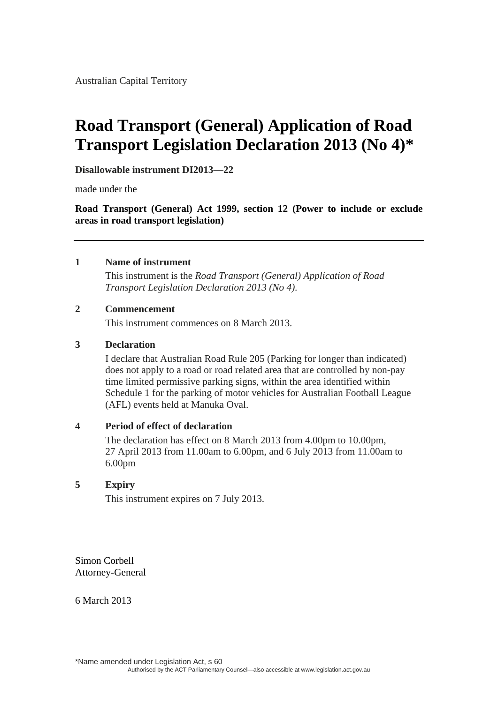# **Road Transport (General) Application of Road Transport Legislation Declaration 2013 (No 4)\***

**Disallowable instrument DI2013—22**

made under the

**Road Transport (General) Act 1999, section 12 (Power to include or exclude areas in road transport legislation)**

#### **1 Name of instrument**

 This instrument is the *Road Transport (General) Application of Road Transport Legislation Declaration 2013 (No 4).*

### **2 Commencement**

This instrument commences on 8 March 2013.

#### **3 Declaration**

I declare that Australian Road Rule 205 (Parking for longer than indicated) does not apply to a road or road related area that are controlled by non-pay time limited permissive parking signs, within the area identified within Schedule 1 for the parking of motor vehicles for Australian Football League (AFL) events held at Manuka Oval.

#### **4 Period of effect of declaration**

The declaration has effect on 8 March 2013 from 4.00pm to 10.00pm, 27 April 2013 from 11.00am to 6.00pm, and 6 July 2013 from 11.00am to 6.00pm

#### **5 Expiry**

This instrument expires on 7 July 2013.

Simon Corbell Attorney-General

6 March 2013